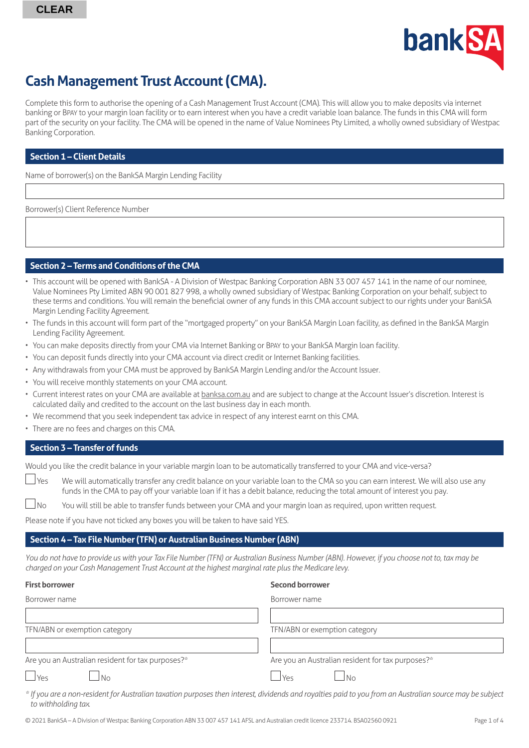

# **Cash Management Trust Account (CMA).**

Complete this form to authorise the opening of a Cash Management Trust Account (CMA). This will allow you to make deposits via internet banking or BPAY to your margin loan facility or to earn interest when you have a credit variable loan balance. The funds in this CMA will form part of the security on your facility. The CMA will be opened in the name of Value Nominees Pty Limited, a wholly owned subsidiary of Westpac Banking Corporation.

# **Section 1 – Client Details**

Name of borrower(s) on the BankSA Margin Lending Facility

Borrower(s) Client Reference Number

# **Section 2 – Terms and Conditions of the CMA**

- This account will be opened with BankSA A Division of Westpac Banking Corporation ABN 33 007 457 141 in the name of our nominee, Value Nominees Pty Limited ABN 90 001 827 998, a wholly owned subsidiary of Westpac Banking Corporation on your behalf, subject to these terms and conditions. You will remain the beneficial owner of any funds in this CMA account subject to our rights under your BankSA Margin Lending Facility Agreement.
- The funds in this account will form part of the "mortgaged property" on your BankSA Margin Loan facility, as defined in the BankSA Margin Lending Facility Agreement.
- You can make deposits directly from your CMA via Internet Banking or BPAY to your BankSA Margin loan facility.
- You can deposit funds directly into your CMA account via direct credit or Internet Banking facilities.
- Any withdrawals from your CMA must be approved by BankSA Margin Lending and/or the Account Issuer.
- You will receive monthly statements on your CMA account.
- Current interest rates on your CMA are available at [banksa.com.au](http://banksa.com.au) and are subject to change at the Account Issuer's discretion. Interest is calculated daily and credited to the account on the last business day in each month.
- We recommend that you seek independent tax advice in respect of any interest earnt on this CMA.
- There are no fees and charges on this CMA.

# **Section 3 – Transfer of funds**

Would you like the credit balance in your variable margin loan to be automatically transferred to your CMA and vice-versa?

- Yes We will automatically transfer any credit balance on your variable loan to the CMA so you can earn interest. We will also use any funds in the CMA to pay off your variable loan if it has a debit balance, reducing the total amount of interest you pay.
- $\Box$  No  $\quad$  You will still be able to transfer funds between your CMA and your margin loan as required, upon written request.

Please note if you have not ticked any boxes you will be taken to have said YES.

# **Section 4 – Tax File Number (TFN) or Australian Business Number (ABN)**

Borrower name **Borrower name** Borrower name **Borrower** name

*You do not have to provide us with your Tax File Number (TFN) or Australian Business Number (ABN). However, if you choose not to, tax may be charged on your Cash Management Trust Account at the highest marginal rate plus the Medicare levy.* 

#### **First borrower Second borrower**

TFN/ABN or exemption category TFN/ABN or exemption category

Are you an Australian resident for tax purposes?\* Are you an Australian resident for tax purposes?\*

IYes ∐No Notes Notes No. 2014

*\* If you are a non-resident for Australian taxation purposes then interest, dividends and royalties paid to you from an Australian source may be subject to withholding tax.*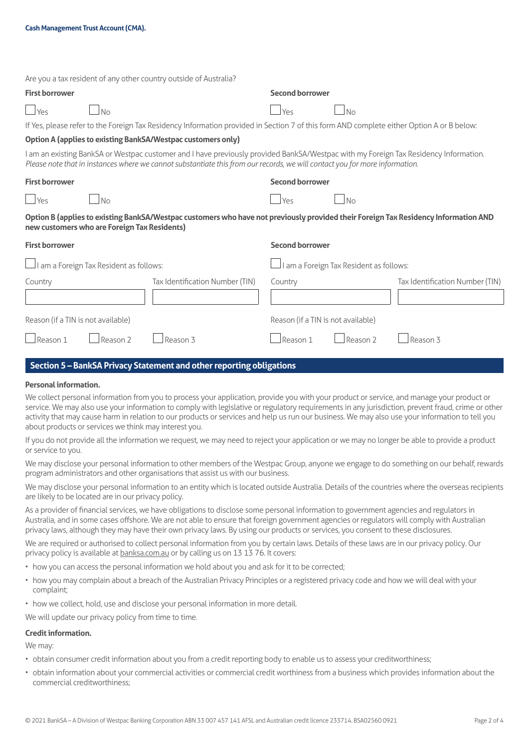|                                    |                                                | Are you a tax resident of any other country outside of Australia?                                                                                                                                                                                                   |                                    |                                         |                                 |
|------------------------------------|------------------------------------------------|---------------------------------------------------------------------------------------------------------------------------------------------------------------------------------------------------------------------------------------------------------------------|------------------------------------|-----------------------------------------|---------------------------------|
| <b>First borrower</b>              |                                                |                                                                                                                                                                                                                                                                     | <b>Second borrower</b>             |                                         |                                 |
| $\Box$ Yes                         | J No                                           |                                                                                                                                                                                                                                                                     | <b>Yes</b>                         | _I No                                   |                                 |
|                                    |                                                | If Yes, please refer to the Foreign Tax Residency Information provided in Section 7 of this form AND complete either Option A or B below:                                                                                                                           |                                    |                                         |                                 |
|                                    |                                                | <b>Option A (applies to existing BankSA/Westpac customers only)</b>                                                                                                                                                                                                 |                                    |                                         |                                 |
|                                    |                                                | I am an existing BankSA or Westpac customer and I have previously provided BankSA/Westpac with my Foreign Tax Residency Information.<br>Please note that in instances where we cannot substantiate this from our records, we will contact you for more information. |                                    |                                         |                                 |
| <b>First borrower</b>              |                                                |                                                                                                                                                                                                                                                                     | <b>Second borrower</b>             |                                         |                                 |
| $\Box$ Yes                         | <u>J</u> No                                    |                                                                                                                                                                                                                                                                     | <b>Yes</b>                         | $\Box$ No                               |                                 |
|                                    | new customers who are Foreign Tax Residents)   | Option B (applies to existing BankSA/Westpac customers who have not previously provided their Foreign Tax Residency Information AND                                                                                                                                 |                                    |                                         |                                 |
| <b>First borrower</b>              |                                                |                                                                                                                                                                                                                                                                     | <b>Second borrower</b>             |                                         |                                 |
|                                    | $\Box$ I am a Foreign Tax Resident as follows: |                                                                                                                                                                                                                                                                     |                                    | I am a Foreign Tax Resident as follows: |                                 |
| Country                            |                                                | Tax Identification Number (TIN)                                                                                                                                                                                                                                     | Country                            |                                         | Tax Identification Number (TIN) |
|                                    |                                                |                                                                                                                                                                                                                                                                     |                                    |                                         |                                 |
| Reason (if a TIN is not available) |                                                |                                                                                                                                                                                                                                                                     | Reason (if a TIN is not available) |                                         |                                 |
| $\Box$ Reason 1                    | $\Box$ Reason 2                                | Reason 3                                                                                                                                                                                                                                                            | $\sf J$ Reason 1                   | Reason 2                                | Reason 3                        |
|                                    |                                                | Section 5 - BankSA Privacy Statement and other reporting obligations                                                                                                                                                                                                |                                    |                                         |                                 |

# **Personal information.**

We collect personal information from you to process your application, provide you with your product or service, and manage your product or service. We may also use your information to comply with legislative or regulatory requirements in any jurisdiction, prevent fraud, crime or other activity that may cause harm in relation to our products or services and help us run our business. We may also use your information to tell you about products or services we think may interest you.

If you do not provide all the information we request, we may need to reject your application or we may no longer be able to provide a product or service to you.

We may disclose your personal information to other members of the Westpac Group, anyone we engage to do something on our behalf, rewards program administrators and other organisations that assist us with our business.

We may disclose your personal information to an entity which is located outside Australia. Details of the countries where the overseas recipients are likely to be located are in our privacy policy.

As a provider of financial services, we have obligations to disclose some personal information to government agencies and regulators in Australia, and in some cases offshore. We are not able to ensure that foreign government agencies or regulators will comply with Australian privacy laws, although they may have their own privacy laws. By using our products or services, you consent to these disclosures.

We are required or authorised to collect personal information from you by certain laws. Details of these laws are in our privacy policy. Our privacy policy is available at [banksa.com.au](http://banksa.com.au) or by calling us on 13 13 76. It covers:

- how you can access the personal information we hold about you and ask for it to be corrected;
- how you may complain about a breach of the Australian Privacy Principles or a registered privacy code and how we will deal with your complaint;
- how we collect, hold, use and disclose your personal information in more detail.

We will update our privacy policy from time to time.

#### **Credit information.**

We may:

- obtain consumer credit information about you from a credit reporting body to enable us to assess your creditworthiness;
- obtain information about your commercial activities or commercial credit worthiness from a business which provides information about the commercial creditworthiness;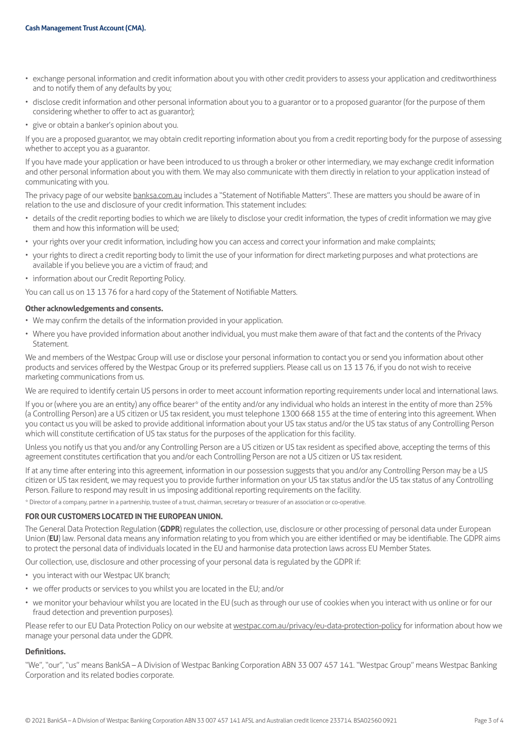- exchange personal information and credit information about you with other credit providers to assess your application and creditworthiness and to notify them of any defaults by you;
- disclose credit information and other personal information about you to a guarantor or to a proposed guarantor (for the purpose of them considering whether to offer to act as guarantor);
- give or obtain a banker's opinion about you.

If you are a proposed guarantor, we may obtain credit reporting information about you from a credit reporting body for the purpose of assessing whether to accept you as a guarantor.

If you have made your application or have been introduced to us through a broker or other intermediary, we may exchange credit information and other personal information about you with them. We may also communicate with them directly in relation to your application instead of communicating with you.

The privacy page of our website [banksa.com.au](http://banksa.com.au) includes a "Statement of Notifiable Matters". These are matters you should be aware of in relation to the use and disclosure of your credit information. This statement includes:

- details of the credit reporting bodies to which we are likely to disclose your credit information, the types of credit information we may give them and how this information will be used;
- your rights over your credit information, including how you can access and correct your information and make complaints;
- your rights to direct a credit reporting body to limit the use of your information for direct marketing purposes and what protections are available if you believe you are a victim of fraud; and
- information about our Credit Reporting Policy.

You can call us on 13 13 76 for a hard copy of the Statement of Notifiable Matters.

#### **Other acknowledgements and consents.**

- We may confirm the details of the information provided in your application.
- Where you have provided information about another individual, you must make them aware of that fact and the contents of the Privacy Statement.

We and members of the Westpac Group will use or disclose your personal information to contact you or send you information about other products and services offered by the Westpac Group or its preferred suppliers. Please call us on 13 13 76, if you do not wish to receive marketing communications from us.

We are required to identify certain US persons in order to meet account information reporting requirements under local and international laws.

If you or (where you are an entity) any office bearer\* of the entity and/or any individual who holds an interest in the entity of more than 25% (a Controlling Person) are a US citizen or US tax resident, you must telephone 1300 668 155 at the time of entering into this agreement. When you contact us you will be asked to provide additional information about your US tax status and/or the US tax status of any Controlling Person which will constitute certification of US tax status for the purposes of the application for this facility.

Unless you notify us that you and/or any Controlling Person are a US citizen or US tax resident as specified above, accepting the terms of this agreement constitutes certification that you and/or each Controlling Person are not a US citizen or US tax resident.

If at any time after entering into this agreement, information in our possession suggests that you and/or any Controlling Person may be a US citizen or US tax resident, we may request you to provide further information on your US tax status and/or the US tax status of any Controlling Person. Failure to respond may result in us imposing additional reporting requirements on the facility.

\* Director of a company, partner in a partnership, trustee of a trust, chairman, secretary or treasurer of an association or co-operative.

#### **FOR OUR CUSTOMERS LOCATED IN THE EUROPEAN UNION.**

The General Data Protection Regulation (**GDPR**) regulates the collection, use, disclosure or other processing of personal data under European Union (**EU**) law. Personal data means any information relating to you from which you are either identified or may be identifiable. The GDPR aims to protect the personal data of individuals located in the EU and harmonise data protection laws across EU Member States.

Our collection, use, disclosure and other processing of your personal data is regulated by the GDPR if:

- you interact with our Westpac UK branch;
- we offer products or services to you whilst you are located in the EU; and/or
- we monitor your behaviour whilst you are located in the EU (such as through our use of cookies when you interact with us online or for our fraud detection and prevention purposes).

Please refer to our EU Data Protection Policy on our website at [westpac.com.au/privacy/eu-data-protection-policy](http://westpac.com.au/privacy/eu-data-protection-policy) for information about how we manage your personal data under the GDPR.

#### **Definitions.**

"We", "our", "us" means BankSA – A Division of Westpac Banking Corporation ABN 33 007 457 141. "Westpac Group" means Westpac Banking Corporation and its related bodies corporate.